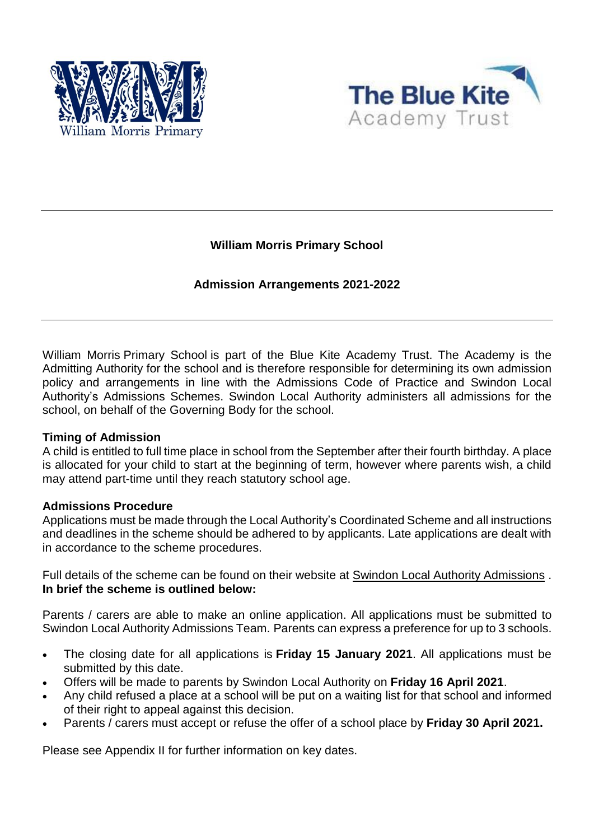



# **William Morris Primary School**

# **Admission Arrangements 2021-2022**

William Morris Primary School is part of the Blue Kite Academy Trust. The Academy is the Admitting Authority for the school and is therefore responsible for determining its own admission policy and arrangements in line with the Admissions Code of Practice and Swindon Local Authority's Admissions Schemes. Swindon Local Authority administers all admissions for the school, on behalf of the Governing Body for the school.

## **Timing of Admission**

A child is entitled to full time place in school from the September after their fourth birthday. A place is allocated for your child to start at the beginning of term, however where parents wish, a child may attend part-time until they reach statutory school age.

## **Admissions Procedure**

Applications must be made through the Local Authority's Coordinated Scheme and all instructions and deadlines in the scheme should be adhered to by applicants. Late applications are dealt with in accordance to the scheme procedures.

Full details of the scheme can be found on their website at Swindon Local Authority [Admissions](https://www.swindon.gov.uk/info/20071/school_places_and_admissions/427/primary_school_places_and_admissions) . **In brief the scheme is outlined below:**

Parents / carers are able to make an online application. All applications must be submitted to Swindon Local Authority Admissions Team. Parents can express a preference for up to 3 schools.

- The closing date for all applications is **Friday 15 January 2021**. All applications must be submitted by this date.
- Offers will be made to parents by Swindon Local Authority on **Friday 16 April 2021**.
- Any child refused a place at a school will be put on a waiting list for that school and informed of their right to appeal against this decision.
- Parents / carers must accept or refuse the offer of a school place by **Friday 30 April 2021.**

Please see Appendix II for further information on key dates.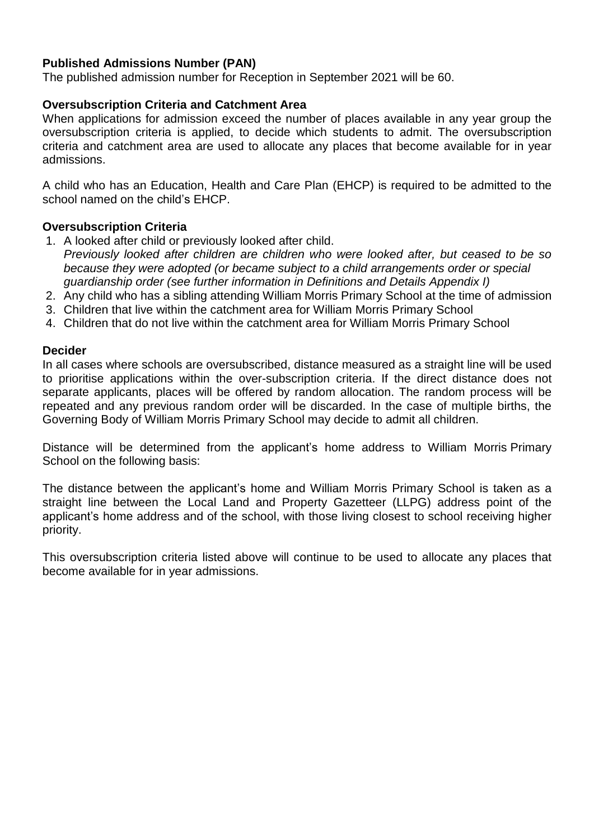# **Published Admissions Number (PAN)**

The published admission number for Reception in September 2021 will be 60.

## **Oversubscription Criteria and Catchment Area**

When applications for admission exceed the number of places available in any year group the oversubscription criteria is applied, to decide which students to admit. The oversubscription criteria and catchment area are used to allocate any places that become available for in year admissions.

A child who has an Education, Health and Care Plan (EHCP) is required to be admitted to the school named on the child's EHCP.

## **Oversubscription Criteria**

- 1. A looked after child or previously looked after child. *Previously looked after children are children who were looked after, but ceased to be so because they were adopted (or became subject to a child arrangements order or special guardianship order (see further information in Definitions and Details Appendix I)*
- 2. Any child who has a sibling attending William Morris Primary School at the time of admission
- 3. Children that live within the catchment area for William Morris Primary School
- 4. Children that do not live within the catchment area for William Morris Primary School

#### **Decider**

In all cases where schools are oversubscribed, distance measured as a straight line will be used to prioritise applications within the over-subscription criteria. If the direct distance does not separate applicants, places will be offered by random allocation. The random process will be repeated and any previous random order will be discarded. In the case of multiple births, the Governing Body of William Morris Primary School may decide to admit all children.

Distance will be determined from the applicant's home address to William Morris Primary School on the following basis:

The distance between the applicant's home and William Morris Primary School is taken as a straight line between the Local Land and Property Gazetteer (LLPG) address point of the applicant's home address and of the school, with those living closest to school receiving higher priority.

This oversubscription criteria listed above will continue to be used to allocate any places that become available for in year admissions.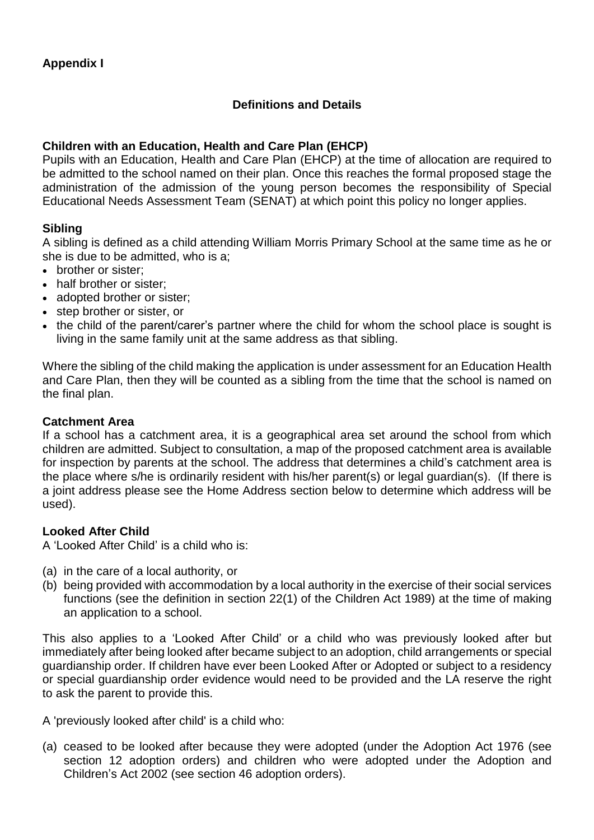# **Definitions and Details**

# **Children with an Education, Health and Care Plan (EHCP)**

Pupils with an Education, Health and Care Plan (EHCP) at the time of allocation are required to be admitted to the school named on their plan. Once this reaches the formal proposed stage the administration of the admission of the young person becomes the responsibility of Special Educational Needs Assessment Team (SENAT) at which point this policy no longer applies.

# **Sibling**

A sibling is defined as a child attending William Morris Primary School at the same time as he or she is due to be admitted, who is a;

- brother or sister;
- half brother or sister:
- adopted brother or sister:
- step brother or sister, or
- the child of the parent/carer's partner where the child for whom the school place is sought is living in the same family unit at the same address as that sibling.

Where the sibling of the child making the application is under assessment for an Education Health and Care Plan, then they will be counted as a sibling from the time that the school is named on the final plan.

## **Catchment Area**

If a school has a catchment area, it is a geographical area set around the school from which children are admitted. Subject to consultation, a map of the proposed catchment area is available for inspection by parents at the school. The address that determines a child's catchment area is the place where s/he is ordinarily resident with his/her parent(s) or legal guardian(s). (If there is a joint address please see the Home Address section below to determine which address will be used).

## **Looked After Child**

A 'Looked After Child' is a child who is:

- (a) in the care of a local authority, or
- (b) being provided with accommodation by a local authority in the exercise of their social services functions (see the definition in section 22(1) of the Children Act 1989) at the time of making an application to a school.

This also applies to a 'Looked After Child' or a child who was previously looked after but immediately after being looked after became subject to an adoption, child arrangements or special guardianship order. If children have ever been Looked After or Adopted or subject to a residency or special guardianship order evidence would need to be provided and the LA reserve the right to ask the parent to provide this.

A 'previously looked after child' is a child who:

(a) ceased to be looked after because they were adopted (under the Adoption Act 1976 (see section 12 adoption orders) and children who were adopted under the Adoption and Children's Act 2002 (see section 46 adoption orders).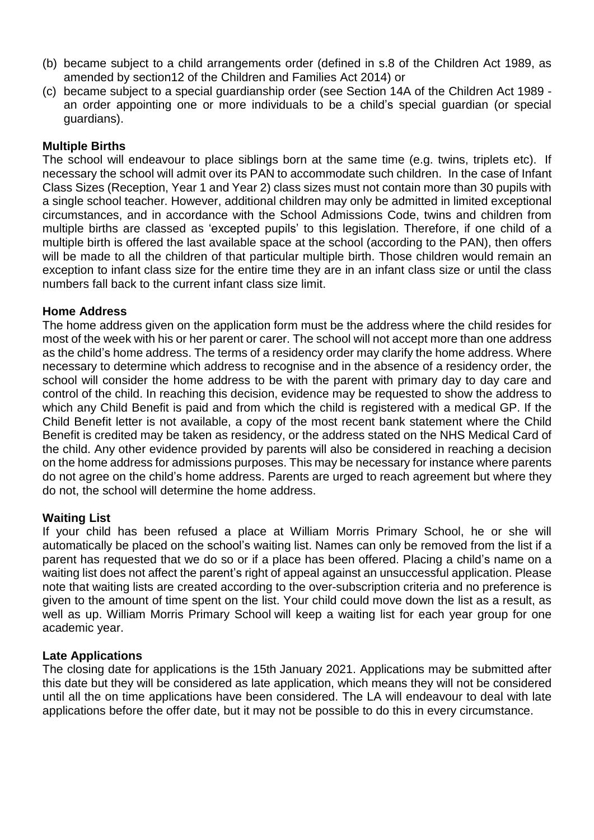- (b) became subject to a child arrangements order (defined in s.8 of the Children Act 1989, as amended by section12 of the Children and Families Act 2014) or
- (c) became subject to a special guardianship order (see Section 14A of the Children Act 1989 an order appointing one or more individuals to be a child's special guardian (or special guardians).

# **Multiple Births**

The school will endeavour to place siblings born at the same time (e.g. twins, triplets etc). If necessary the school will admit over its PAN to accommodate such children. In the case of Infant Class Sizes (Reception, Year 1 and Year 2) class sizes must not contain more than 30 pupils with a single school teacher. However, additional children may only be admitted in limited exceptional circumstances, and in accordance with the School Admissions Code, twins and children from multiple births are classed as 'excepted pupils' to this legislation. Therefore, if one child of a multiple birth is offered the last available space at the school (according to the PAN), then offers will be made to all the children of that particular multiple birth. Those children would remain an exception to infant class size for the entire time they are in an infant class size or until the class numbers fall back to the current infant class size limit.

## **Home Address**

The home address given on the application form must be the address where the child resides for most of the week with his or her parent or carer. The school will not accept more than one address as the child's home address. The terms of a residency order may clarify the home address. Where necessary to determine which address to recognise and in the absence of a residency order, the school will consider the home address to be with the parent with primary day to day care and control of the child. In reaching this decision, evidence may be requested to show the address to which any Child Benefit is paid and from which the child is registered with a medical GP. If the Child Benefit letter is not available, a copy of the most recent bank statement where the Child Benefit is credited may be taken as residency, or the address stated on the NHS Medical Card of the child. Any other evidence provided by parents will also be considered in reaching a decision on the home address for admissions purposes. This may be necessary for instance where parents do not agree on the child's home address. Parents are urged to reach agreement but where they do not, the school will determine the home address.

## **Waiting List**

If your child has been refused a place at William Morris Primary School, he or she will automatically be placed on the school's waiting list. Names can only be removed from the list if a parent has requested that we do so or if a place has been offered. Placing a child's name on a waiting list does not affect the parent's right of appeal against an unsuccessful application. Please note that waiting lists are created according to the over-subscription criteria and no preference is given to the amount of time spent on the list. Your child could move down the list as a result, as well as up. William Morris Primary School will keep a waiting list for each year group for one academic year.

## **Late Applications**

The closing date for applications is the 15th January 2021. Applications may be submitted after this date but they will be considered as late application, which means they will not be considered until all the on time applications have been considered. The LA will endeavour to deal with late applications before the offer date, but it may not be possible to do this in every circumstance.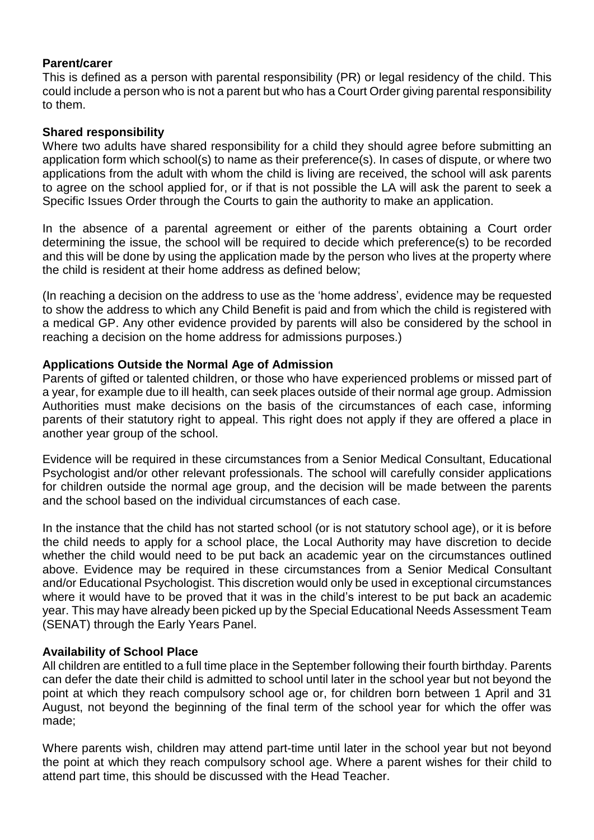## **Parent/carer**

This is defined as a person with parental responsibility (PR) or legal residency of the child. This could include a person who is not a parent but who has a Court Order giving parental responsibility to them.

#### **Shared responsibility**

Where two adults have shared responsibility for a child they should agree before submitting an application form which school(s) to name as their preference(s). In cases of dispute, or where two applications from the adult with whom the child is living are received, the school will ask parents to agree on the school applied for, or if that is not possible the LA will ask the parent to seek a Specific Issues Order through the Courts to gain the authority to make an application.

In the absence of a parental agreement or either of the parents obtaining a Court order determining the issue, the school will be required to decide which preference(s) to be recorded and this will be done by using the application made by the person who lives at the property where the child is resident at their home address as defined below;

(In reaching a decision on the address to use as the 'home address', evidence may be requested to show the address to which any Child Benefit is paid and from which the child is registered with a medical GP. Any other evidence provided by parents will also be considered by the school in reaching a decision on the home address for admissions purposes.)

#### **Applications Outside the Normal Age of Admission**

Parents of gifted or talented children, or those who have experienced problems or missed part of a year, for example due to ill health, can seek places outside of their normal age group. Admission Authorities must make decisions on the basis of the circumstances of each case, informing parents of their statutory right to appeal. This right does not apply if they are offered a place in another year group of the school.

Evidence will be required in these circumstances from a Senior Medical Consultant, Educational Psychologist and/or other relevant professionals. The school will carefully consider applications for children outside the normal age group, and the decision will be made between the parents and the school based on the individual circumstances of each case.

In the instance that the child has not started school (or is not statutory school age), or it is before the child needs to apply for a school place, the Local Authority may have discretion to decide whether the child would need to be put back an academic year on the circumstances outlined above. Evidence may be required in these circumstances from a Senior Medical Consultant and/or Educational Psychologist. This discretion would only be used in exceptional circumstances where it would have to be proved that it was in the child's interest to be put back an academic year. This may have already been picked up by the Special Educational Needs Assessment Team (SENAT) through the Early Years Panel.

## **Availability of School Place**

All children are entitled to a full time place in the September following their fourth birthday. Parents can defer the date their child is admitted to school until later in the school year but not beyond the point at which they reach compulsory school age or, for children born between 1 April and 31 August, not beyond the beginning of the final term of the school year for which the offer was made;

Where parents wish, children may attend part-time until later in the school year but not beyond the point at which they reach compulsory school age. Where a parent wishes for their child to attend part time, this should be discussed with the Head Teacher.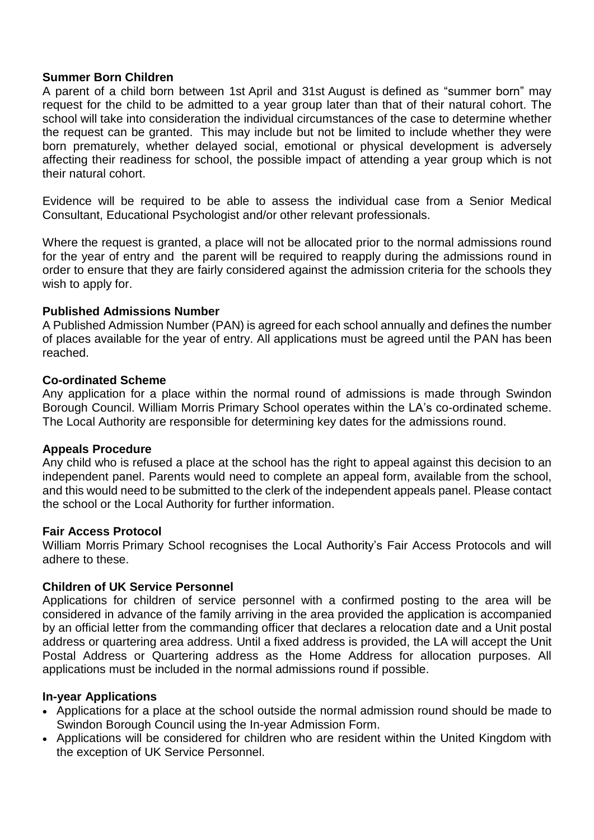#### **Summer Born Children**

A parent of a child born between 1st April and 31st August is defined as "summer born" may request for the child to be admitted to a year group later than that of their natural cohort. The school will take into consideration the individual circumstances of the case to determine whether the request can be granted. This may include but not be limited to include whether they were born prematurely, whether delayed social, emotional or physical development is adversely affecting their readiness for school, the possible impact of attending a year group which is not their natural cohort.

Evidence will be required to be able to assess the individual case from a Senior Medical Consultant, Educational Psychologist and/or other relevant professionals.

Where the request is granted, a place will not be allocated prior to the normal admissions round for the year of entry and the parent will be required to reapply during the admissions round in order to ensure that they are fairly considered against the admission criteria for the schools they wish to apply for.

#### **Published Admissions Number**

A Published Admission Number (PAN) is agreed for each school annually and defines the number of places available for the year of entry. All applications must be agreed until the PAN has been reached.

#### **Co-ordinated Scheme**

Any application for a place within the normal round of admissions is made through Swindon Borough Council. William Morris Primary School operates within the LA's co-ordinated scheme. The Local Authority are responsible for determining key dates for the admissions round.

#### **Appeals Procedure**

Any child who is refused a place at the school has the right to appeal against this decision to an independent panel. Parents would need to complete an appeal form, available from the school, and this would need to be submitted to the clerk of the independent appeals panel. Please contact the school or the Local Authority for further information.

#### **Fair Access Protocol**

William Morris Primary School recognises the Local Authority's Fair Access Protocols and will adhere to these.

#### **Children of UK Service Personnel**

Applications for children of service personnel with a confirmed posting to the area will be considered in advance of the family arriving in the area provided the application is accompanied by an official letter from the commanding officer that declares a relocation date and a Unit postal address or quartering area address. Until a fixed address is provided, the LA will accept the Unit Postal Address or Quartering address as the Home Address for allocation purposes. All applications must be included in the normal admissions round if possible.

#### **In-year Applications**

- Applications for a place at the school outside the normal admission round should be made to Swindon Borough Council using the In-year Admission Form.
- Applications will be considered for children who are resident within the United Kingdom with the exception of UK Service Personnel.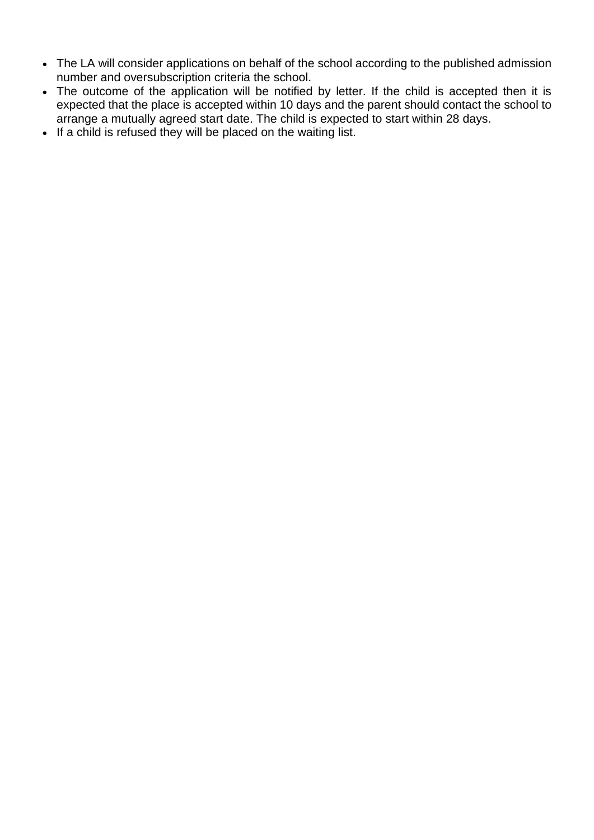- The LA will consider applications on behalf of the school according to the published admission number and oversubscription criteria the school.
- The outcome of the application will be notified by letter. If the child is accepted then it is expected that the place is accepted within 10 days and the parent should contact the school to arrange a mutually agreed start date. The child is expected to start within 28 days.
- If a child is refused they will be placed on the waiting list.